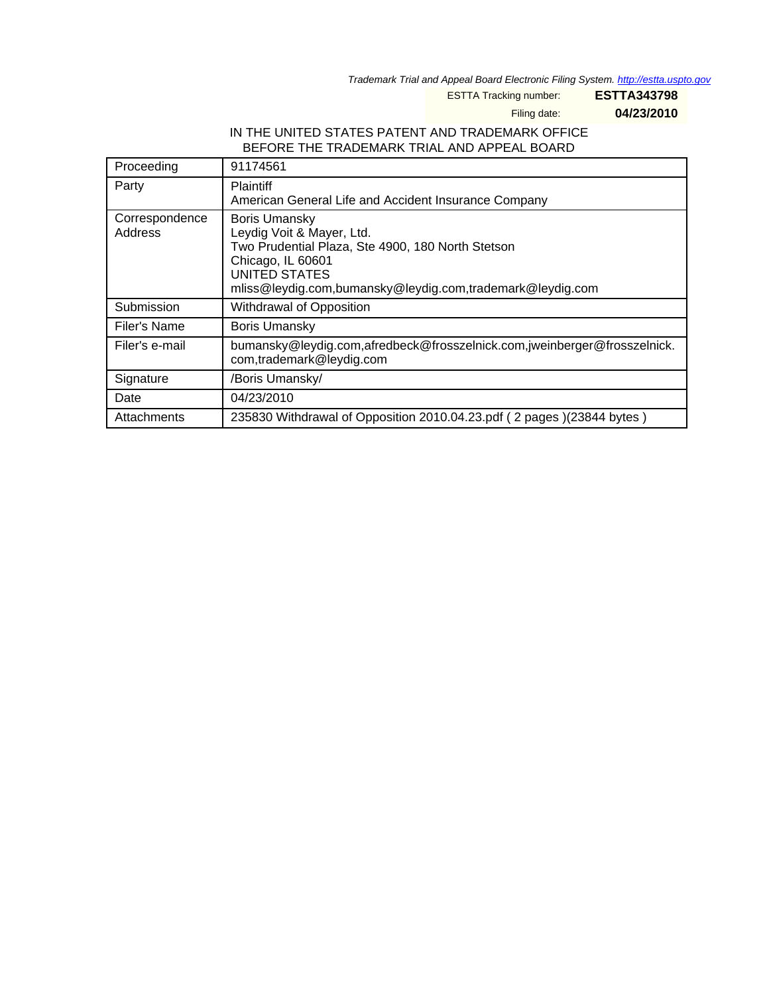Trademark Trial and Appeal Board Electronic Filing System. <http://estta.uspto.gov>

ESTTA Tracking number: **ESTTA343798**

Filing date: **04/23/2010**

## IN THE UNITED STATES PATENT AND TRADEMARK OFFICE BEFORE THE TRADEMARK TRIAL AND APPEAL BOARD

| Proceeding                | 91174561                                                                                                                                                                                                  |  |
|---------------------------|-----------------------------------------------------------------------------------------------------------------------------------------------------------------------------------------------------------|--|
| Party                     | <b>Plaintiff</b><br>American General Life and Accident Insurance Company                                                                                                                                  |  |
| Correspondence<br>Address | <b>Boris Umansky</b><br>Leydig Voit & Mayer, Ltd.<br>Two Prudential Plaza, Ste 4900, 180 North Stetson<br>Chicago, IL 60601<br>UNITED STATES<br>mliss@leydig.com,bumansky@leydig.com,trademark@leydig.com |  |
| Submission                | Withdrawal of Opposition                                                                                                                                                                                  |  |
| Filer's Name              | <b>Boris Umansky</b>                                                                                                                                                                                      |  |
| Filer's e-mail            | bumansky@leydig.com,afredbeck@frosszelnick.com,jweinberger@frosszelnick.<br>com,trademark@leydig.com                                                                                                      |  |
| Signature                 | /Boris Umansky/                                                                                                                                                                                           |  |
| Date                      | 04/23/2010                                                                                                                                                                                                |  |
| Attachments               | 235830 Withdrawal of Opposition 2010.04.23.pdf (2 pages) (23844 bytes)                                                                                                                                    |  |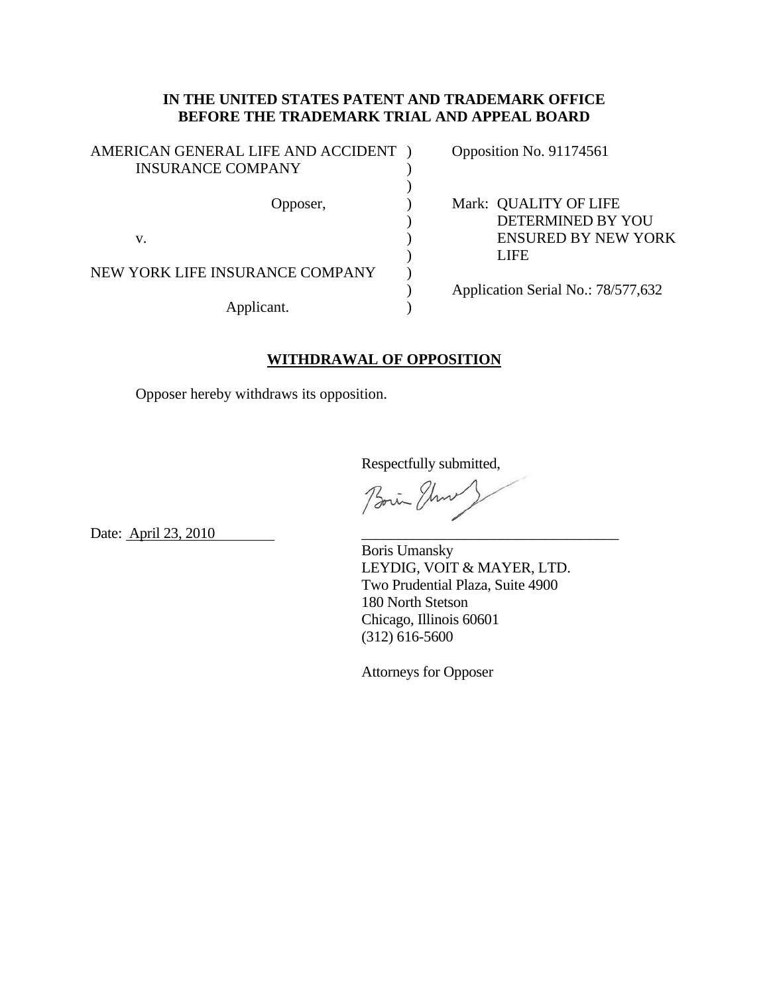## **IN THE UNITED STATES PATENT AND TRADEMARK OFFICE BEFORE THE TRADEMARK TRIAL AND APPEAL BOARD**

| AMERICAN GENERAL LIFE AND ACCIDENT<br><b>INSURANCE COMPANY</b> |  | Opposition No. 91174561                                                                 |
|----------------------------------------------------------------|--|-----------------------------------------------------------------------------------------|
| Opposer,<br>V.                                                 |  | Mark: QUALITY OF LIFE<br>DETERMINED BY YOU<br><b>ENSURED BY NEW YORK</b><br><b>LIFE</b> |
| NEW YORK LIFE INSURANCE COMPANY<br>Applicant.                  |  | Application Serial No.: 78/577,632                                                      |

## **WITHDRAWAL OF OPPOSITION**

Opposer hereby withdraws its opposition.

Respectfully submitted,

Boin Three

Date: <u>April 23, 2010</u>

 Boris Umansky LEYDIG, VOIT & MAYER, LTD. Two Prudential Plaza, Suite 4900 180 North Stetson Chicago, Illinois 60601 (312) 616-5600

Attorneys for Opposer